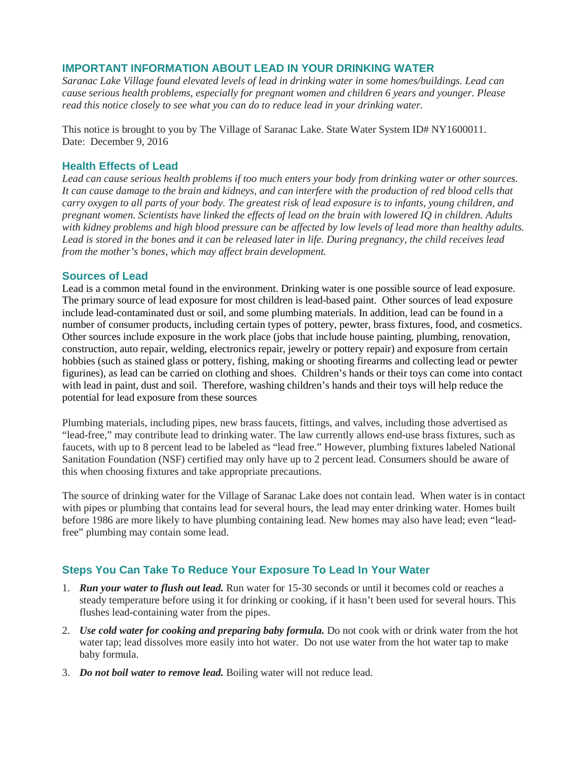## **IMPORTANT INFORMATION ABOUT LEAD IN YOUR DRINKING WATER**

*Saranac Lake Village found elevated levels of lead in drinking water in some homes/buildings. Lead can cause serious health problems, especially for pregnant women and children 6 years and younger. Please read this notice closely to see what you can do to reduce lead in your drinking water.*

This notice is brought to you by The Village of Saranac Lake. State Water System ID# NY1600011. Date: December 9, 2016

## **Health Effects of Lead**

*Lead can cause serious health problems if too much enters your body from drinking water or other sources. It can cause damage to the brain and kidneys, and can interfere with the production of red blood cells that carry oxygen to all parts of your body. The greatest risk of lead exposure is to infants, young children, and pregnant women. Scientists have linked the effects of lead on the brain with lowered IQ in children. Adults with kidney problems and high blood pressure can be affected by low levels of lead more than healthy adults. Lead is stored in the bones and it can be released later in life. During pregnancy, the child receives lead from the mother's bones, which may affect brain development.*

## **Sources of Lead**

Lead is a common metal found in the environment. Drinking water is one possible source of lead exposure. The primary source of lead exposure for most children is lead-based paint. Other sources of lead exposure include lead-contaminated dust or soil, and some plumbing materials. In addition, lead can be found in a number of consumer products, including certain types of pottery, pewter, brass fixtures, food, and cosmetics. Other sources include exposure in the work place (jobs that include house painting, plumbing, renovation, construction, auto repair, welding, electronics repair, jewelry or pottery repair) and exposure from certain hobbies (such as stained glass or pottery, fishing, making or shooting firearms and collecting lead or pewter figurines), as lead can be carried on clothing and shoes. Children's hands or their toys can come into contact with lead in paint, dust and soil. Therefore, washing children's hands and their toys will help reduce the potential for lead exposure from these sources

Plumbing materials, including pipes, new brass faucets, fittings, and valves, including those advertised as "lead-free," may contribute lead to drinking water. The law currently allows end-use brass fixtures, such as faucets, with up to 8 percent lead to be labeled as "lead free." However, plumbing fixtures labeled National Sanitation Foundation (NSF) certified may only have up to 2 percent lead. Consumers should be aware of this when choosing fixtures and take appropriate precautions.

The source of drinking water for the Village of Saranac Lake does not contain lead. When water is in contact with pipes or plumbing that contains lead for several hours, the lead may enter drinking water. Homes built before 1986 are more likely to have plumbing containing lead. New homes may also have lead; even "leadfree" plumbing may contain some lead.

# **Steps You Can Take To Reduce Your Exposure To Lead In Your Water**

- 1. *Run your water to flush out lead.* Run water for 15-30 seconds or until it becomes cold or reaches a steady temperature before using it for drinking or cooking, if it hasn't been used for several hours. This flushes lead-containing water from the pipes.
- 2. *Use cold water for cooking and preparing baby formula.* Do not cook with or drink water from the hot water tap; lead dissolves more easily into hot water. Do not use water from the hot water tap to make baby formula.
- 3. *Do not boil water to remove lead.* Boiling water will not reduce lead.